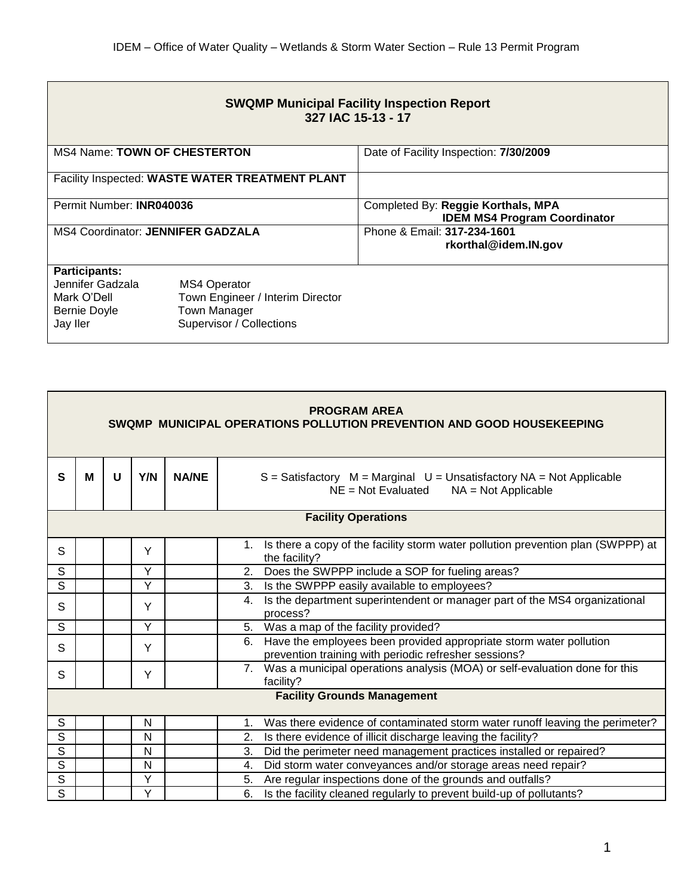| <b>SWQMP Municipal Facility Inspection Report</b><br>327 IAC 15-13 - 17                    |                                                                                                     |                                                                           |  |  |  |  |  |
|--------------------------------------------------------------------------------------------|-----------------------------------------------------------------------------------------------------|---------------------------------------------------------------------------|--|--|--|--|--|
| <b>MS4 Name: TOWN OF CHESTERTON</b>                                                        |                                                                                                     | Date of Facility Inspection: 7/30/2009                                    |  |  |  |  |  |
|                                                                                            | Facility Inspected: WASTE WATER TREATMENT PLANT                                                     |                                                                           |  |  |  |  |  |
| Permit Number: <b>INR040036</b>                                                            |                                                                                                     | Completed By: Reggie Korthals, MPA<br><b>IDEM MS4 Program Coordinator</b> |  |  |  |  |  |
| <b>MS4 Coordinator: JENNIFER GADZALA</b>                                                   |                                                                                                     | Phone & Email: 317-234-1601<br>rkorthal@idem.IN.gov                       |  |  |  |  |  |
| <b>Participants:</b><br>Jennifer Gadzala<br>Mark O'Dell<br><b>Bernie Doyle</b><br>Jay Iler | <b>MS4 Operator</b><br>Town Engineer / Interim Director<br>Town Manager<br>Supervisor / Collections |                                                                           |  |  |  |  |  |

| <b>PROGRAM AREA</b><br>SWQMP MUNICIPAL OPERATIONS POLLUTION PREVENTION AND GOOD HOUSEKEEPING |   |   |     |              |                                                                                                                                   |  |
|----------------------------------------------------------------------------------------------|---|---|-----|--------------|-----------------------------------------------------------------------------------------------------------------------------------|--|
| $\mathbf{s}$                                                                                 | М | U | Y/N | <b>NA/NE</b> | $S =$ Satisfactory $M =$ Marginal $U =$ Unsatisfactory NA = Not Applicable<br>$NE = Not$ Evaluated<br>$NA = Not Applicable$       |  |
| <b>Facility Operations</b>                                                                   |   |   |     |              |                                                                                                                                   |  |
| S                                                                                            |   |   | Y   |              | Is there a copy of the facility storm water pollution prevention plan (SWPPP) at<br>1.<br>the facility?                           |  |
| $\overline{\mathsf{s}}$                                                                      |   |   | Y   |              | Does the SWPPP include a SOP for fueling areas?<br>2.                                                                             |  |
| $\mathsf{S}$                                                                                 |   |   | Y   |              | Is the SWPPP easily available to employees?<br>3.                                                                                 |  |
| S                                                                                            |   |   | Y   |              | Is the department superintendent or manager part of the MS4 organizational<br>4.<br>process?                                      |  |
| $\mathsf{S}$                                                                                 |   |   | Υ   |              | 5. Was a map of the facility provided?                                                                                            |  |
| S                                                                                            |   |   | Y   |              | Have the employees been provided appropriate storm water pollution<br>6.<br>prevention training with periodic refresher sessions? |  |
| S                                                                                            |   |   | Y   |              | 7. Was a municipal operations analysis (MOA) or self-evaluation done for this<br>facility?                                        |  |
| <b>Facility Grounds Management</b>                                                           |   |   |     |              |                                                                                                                                   |  |
| $\mathsf S$                                                                                  |   |   | N   |              | Was there evidence of contaminated storm water runoff leaving the perimeter?<br>1.                                                |  |
| $\overline{s}$                                                                               |   |   | N   |              | Is there evidence of illicit discharge leaving the facility?<br>2.                                                                |  |
| $\mathsf{S}$                                                                                 |   |   | N   |              | Did the perimeter need management practices installed or repaired?<br>3.                                                          |  |
| S                                                                                            |   |   | N   |              | Did storm water conveyances and/or storage areas need repair?<br>4.                                                               |  |
| $\overline{s}$                                                                               |   |   | Y   |              | Are regular inspections done of the grounds and outfalls?<br>5.                                                                   |  |
| $\overline{s}$                                                                               |   |   | Ý   |              | Is the facility cleaned regularly to prevent build-up of pollutants?<br>6.                                                        |  |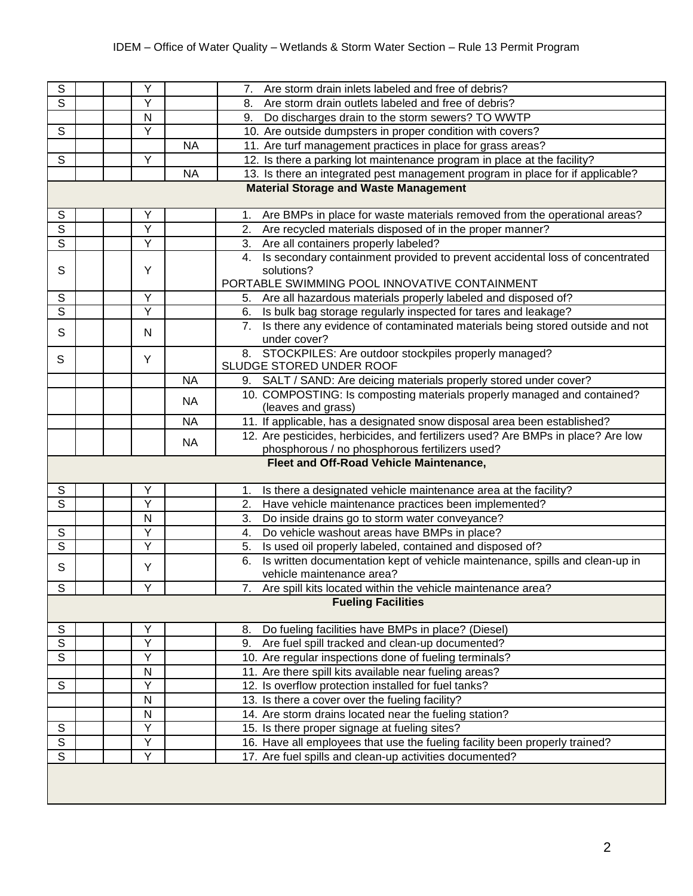| $\overline{s}$                               |                                         | Υ              |           | Are storm drain inlets labeled and free of debris?<br>7.                           |  |  |  |
|----------------------------------------------|-----------------------------------------|----------------|-----------|------------------------------------------------------------------------------------|--|--|--|
| $\overline{s}$                               |                                         | Υ              |           | 8.<br>Are storm drain outlets labeled and free of debris?                          |  |  |  |
|                                              |                                         | N              |           | Do discharges drain to the storm sewers? TO WWTP<br>9.                             |  |  |  |
| $\overline{s}$                               |                                         | Y              |           | 10. Are outside dumpsters in proper condition with covers?                         |  |  |  |
|                                              |                                         |                | <b>NA</b> | 11. Are turf management practices in place for grass areas?                        |  |  |  |
| $\overline{\mathsf{s}}$                      |                                         | Y              |           | 12. Is there a parking lot maintenance program in place at the facility?           |  |  |  |
|                                              |                                         |                | <b>NA</b> | 13. Is there an integrated pest management program in place for if applicable?     |  |  |  |
| <b>Material Storage and Waste Management</b> |                                         |                |           |                                                                                    |  |  |  |
|                                              |                                         |                |           |                                                                                    |  |  |  |
| ${\mathbb S}$                                |                                         | Υ              |           | Are BMPs in place for waste materials removed from the operational areas?<br>1.    |  |  |  |
| $\overline{s}$                               |                                         | Y              |           | Are recycled materials disposed of in the proper manner?<br>2.                     |  |  |  |
| $\overline{s}$                               |                                         | $\overline{Y}$ |           | 3.<br>Are all containers properly labeled?                                         |  |  |  |
|                                              |                                         |                |           | Is secondary containment provided to prevent accidental loss of concentrated<br>4. |  |  |  |
| S                                            |                                         | Y              |           | solutions?                                                                         |  |  |  |
|                                              |                                         |                |           | PORTABLE SWIMMING POOL INNOVATIVE CONTAINMENT                                      |  |  |  |
| S                                            |                                         | Ÿ              |           | Are all hazardous materials properly labeled and disposed of?<br>5.                |  |  |  |
| $\overline{s}$                               |                                         | Υ              |           | Is bulk bag storage regularly inspected for tares and leakage?<br>6.               |  |  |  |
| $\mathsf{S}$                                 |                                         | N              |           | Is there any evidence of contaminated materials being stored outside and not       |  |  |  |
|                                              |                                         |                |           | under cover?                                                                       |  |  |  |
| S                                            |                                         | Y              |           | 8. STOCKPILES: Are outdoor stockpiles properly managed?                            |  |  |  |
|                                              |                                         |                |           | SLUDGE STORED UNDER ROOF                                                           |  |  |  |
|                                              |                                         |                | <b>NA</b> | 9. SALT / SAND: Are deicing materials properly stored under cover?                 |  |  |  |
|                                              |                                         |                | <b>NA</b> | 10. COMPOSTING: Is composting materials properly managed and contained?            |  |  |  |
|                                              |                                         |                |           | (leaves and grass)                                                                 |  |  |  |
|                                              |                                         |                | <b>NA</b> | 11. If applicable, has a designated snow disposal area been established?           |  |  |  |
|                                              |                                         |                | <b>NA</b> | 12. Are pesticides, herbicides, and fertilizers used? Are BMPs in place? Are low   |  |  |  |
|                                              |                                         |                |           | phosphorous / no phosphorous fertilizers used?                                     |  |  |  |
|                                              | Fleet and Off-Road Vehicle Maintenance, |                |           |                                                                                    |  |  |  |
| S                                            |                                         | Υ              |           | Is there a designated vehicle maintenance area at the facility?<br>1.              |  |  |  |
| $\overline{s}$                               |                                         | Y              |           | Have vehicle maintenance practices been implemented?<br>2.                         |  |  |  |
|                                              |                                         | N              |           | 3.<br>Do inside drains go to storm water conveyance?                               |  |  |  |
| ${\mathbb S}$                                |                                         | Υ              |           | Do vehicle washout areas have BMPs in place?<br>4.                                 |  |  |  |
| $\overline{s}$                               |                                         | Y              |           | Is used oil properly labeled, contained and disposed of?<br>5.                     |  |  |  |
| $\mathsf S$                                  |                                         | Υ              |           | Is written documentation kept of vehicle maintenance, spills and clean-up in<br>6. |  |  |  |
|                                              |                                         |                |           | vehicle maintenance area?                                                          |  |  |  |
| $\overline{\mathsf{s}}$                      |                                         | $\vee$         |           | 7. Are spill kits located within the vehicle maintenance area?                     |  |  |  |
| <b>Fueling Facilities</b>                    |                                         |                |           |                                                                                    |  |  |  |
| ${\mathsf S}$                                |                                         | Υ              |           | Do fueling facilities have BMPs in place? (Diesel)<br>8.                           |  |  |  |
| $\overline{s}$                               |                                         | Y              |           | Are fuel spill tracked and clean-up documented?<br>9.                              |  |  |  |
| $\overline{s}$                               |                                         | Y              |           | 10. Are regular inspections done of fueling terminals?                             |  |  |  |
|                                              |                                         | N              |           | 11. Are there spill kits available near fueling areas?                             |  |  |  |
| $\mathsf S$                                  |                                         | Υ              |           | 12. Is overflow protection installed for fuel tanks?                               |  |  |  |
|                                              |                                         | ${\sf N}$      |           | 13. Is there a cover over the fueling facility?                                    |  |  |  |
|                                              |                                         | N              |           | 14. Are storm drains located near the fueling station?                             |  |  |  |
| ${\mathbb S}$                                |                                         | Υ              |           | 15. Is there proper signage at fueling sites?                                      |  |  |  |
| $\overline{\mathsf{S}}$                      |                                         | Y              |           | 16. Have all employees that use the fueling facility been properly trained?        |  |  |  |
| $\overline{s}$                               |                                         | Y              |           | 17. Are fuel spills and clean-up activities documented?                            |  |  |  |
|                                              |                                         |                |           |                                                                                    |  |  |  |
|                                              |                                         |                |           |                                                                                    |  |  |  |